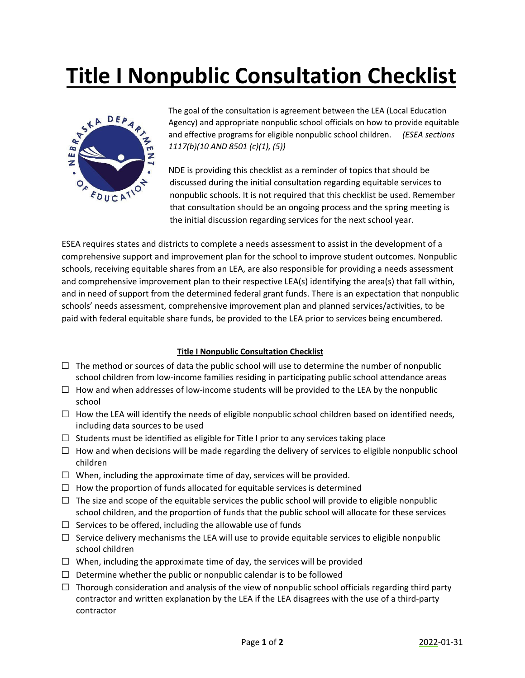## **Title I Nonpublic Consultation Checklist**



The goal of the consultation is agreement between the LEA (Local Education Agency) and appropriate nonpublic school officials on how to provide equitable and effective programs for eligible nonpublic school children. *(ESEA sections 1117(b)(10 AND 8501 (c)(1), (5))*

NDE is providing this checklist as a reminder of topics that should be discussed during the initial consultation regarding equitable services to nonpublic schools. It is not required that this checklist be used. Remember that consultation should be an ongoing process and the spring meeting is the initial discussion regarding services for the next school year.

ESEA requires states and districts to complete a needs assessment to assist in the development of a comprehensive support and improvement plan for the school to improve student outcomes. Nonpublic schools, receiving equitable shares from an LEA, are also responsible for providing a needs assessment and comprehensive improvement plan to their respective LEA(s) identifying the area(s) that fall within, and in need of support from the determined federal grant funds. There is an expectation that nonpublic schools' needs assessment, comprehensive improvement plan and planned services/activities, to be paid with federal equitable share funds, be provided to the LEA prior to services being encumbered.

## **Title I Nonpublic Consultation Checklist**

- $\Box$  The method or sources of data the public school will use to determine the number of nonpublic school children from low-income families residing in participating public school attendance areas
- $\Box$  How and when addresses of low-income students will be provided to the LEA by the nonpublic school
- $\Box$  How the LEA will identify the needs of eligible nonpublic school children based on identified needs, including data sources to be used
- $\Box$  Students must be identified as eligible for Title I prior to any services taking place
- $\Box$  How and when decisions will be made regarding the delivery of services to eligible nonpublic school children
- $\Box$  When, including the approximate time of day, services will be provided.
- $\Box$  How the proportion of funds allocated for equitable services is determined
- $\Box$  The size and scope of the equitable services the public school will provide to eligible nonpublic school children, and the proportion of funds that the public school will allocate for these services
- $\Box$  Services to be offered, including the allowable use of funds
- $\Box$  Service delivery mechanisms the LEA will use to provide equitable services to eligible nonpublic school children
- $\Box$  When, including the approximate time of day, the services will be provided
- $\Box$  Determine whether the public or nonpublic calendar is to be followed
- $\Box$  Thorough consideration and analysis of the view of nonpublic school officials regarding third party contractor and written explanation by the LEA if the LEA disagrees with the use of a third-party contractor